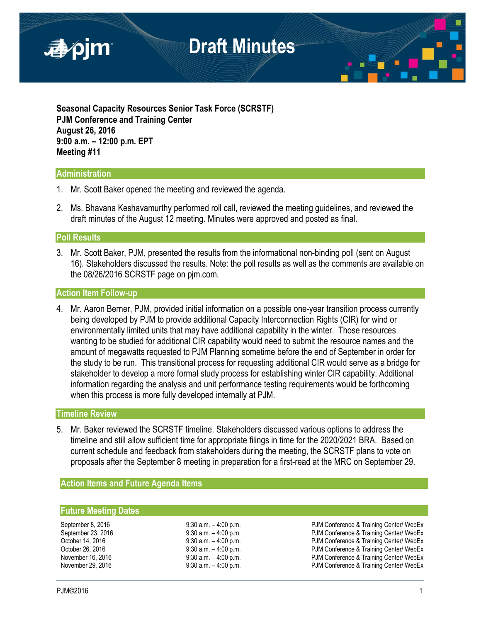

**Seasonal Capacity Resources Senior Task Force (SCRSTF) PJM Conference and Training Center August 26, 2016 9:00 a.m. – 12:00 p.m. EPT Meeting #11**

### **Administration**

- 1. Mr. Scott Baker opened the meeting and reviewed the agenda.
- 2. Ms. Bhavana Keshavamurthy performed roll call, reviewed the meeting guidelines, and reviewed the draft minutes of the August 12 meeting. Minutes were approved and posted as final.

### **Poll Results**

3. Mr. Scott Baker, PJM, presented the results from the informational non-binding poll (sent on August 16). Stakeholders discussed the results. Note: the poll results as well as the comments are available on the 08/26/2016 SCRSTF page on pjm.com.

### **Action Item Follow-up**

4. Mr. Aaron Berner, PJM, provided initial information on a possible one-year transition process currently being developed by PJM to provide additional Capacity Interconnection Rights (CIR) for wind or environmentally limited units that may have additional capability in the winter. Those resources wanting to be studied for additional CIR capability would need to submit the resource names and the amount of megawatts requested to PJM Planning sometime before the end of September in order for the study to be run. This transitional process for requesting additional CIR would serve as a bridge for stakeholder to develop a more formal study process for establishing winter CIR capability. Additional information regarding the analysis and unit performance testing requirements would be forthcoming when this process is more fully developed internally at PJM.

### **Timeline Review**

5. Mr. Baker reviewed the SCRSTF timeline. Stakeholders discussed various options to address the timeline and still allow sufficient time for appropriate filings in time for the 2020/2021 BRA. Based on current schedule and feedback from stakeholders during the meeting, the SCRSTF plans to vote on proposals after the September 8 meeting in preparation for a first-read at the MRC on September 29.

### **Action Items and Future Agenda Items**

### **Future Meeting Dates**

September 8, 2016 **9:30 a.m.** – 4:00 p.m. PJM Conference & Training Center/ WebEx<br>September 23, 2016 9:30 a.m. – 4:00 p.m. PJM Conference & Training Center/ WebEx PJM Conference & Training Center/ WebEx October 14, 2016 **12.10 12.10** 9:30 a.m. – 4:00 p.m. **PJM Conference & Training Center/ WebEx** October 26, 2016 **9:30 a.m.** – 4:00 p.m. PJM Conference & Training Center/ WebEx November 16, 2016 9:30 a.m. – 4:00 p.m. PJM Conference & Training Center/ WebEx PJM Conference & Training Center/ WebEx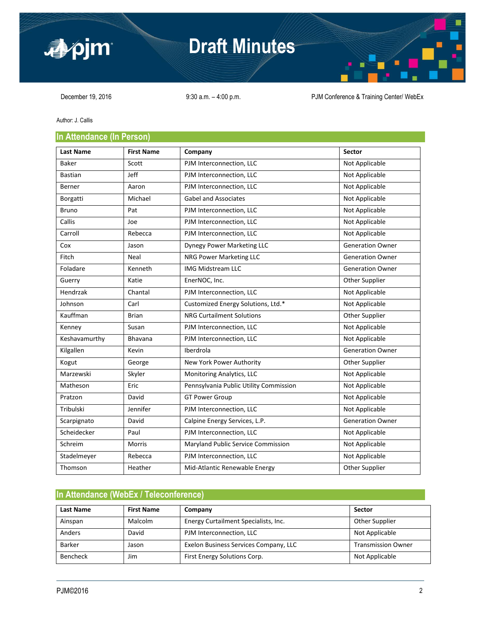

## **Draft Minutes**



December 19, 2016 9:30 a.m. -4:00 p.m. PJM Conference & Training Center/ WebEx

Author: J. Callis

### **In Attendance (In Person)**

| <b>Last Name</b> | <b>First Name</b> | Company                                | <b>Sector</b>           |
|------------------|-------------------|----------------------------------------|-------------------------|
| Baker            | Scott             | PJM Interconnection, LLC               | Not Applicable          |
| <b>Bastian</b>   | Jeff              | PJM Interconnection, LLC               | Not Applicable          |
| Berner           | Aaron             | PJM Interconnection, LLC               | Not Applicable          |
| Borgatti         | Michael           | <b>Gabel and Associates</b>            | Not Applicable          |
| <b>Bruno</b>     | Pat               | PJM Interconnection, LLC               | Not Applicable          |
| Callis           | Joe               | PJM Interconnection, LLC               | Not Applicable          |
| Carroll          | Rebecca           | PJM Interconnection, LLC               | Not Applicable          |
| Cox              | Jason             | Dynegy Power Marketing LLC             | <b>Generation Owner</b> |
| Fitch            | Neal              | NRG Power Marketing LLC                | <b>Generation Owner</b> |
| Foladare         | Kenneth           | <b>IMG Midstream LLC</b>               | <b>Generation Owner</b> |
| Guerry           | Katie             | EnerNOC, Inc.                          | Other Supplier          |
| Hendrzak         | Chantal           | PJM Interconnection, LLC               | Not Applicable          |
| Johnson          | Carl              | Customized Energy Solutions, Ltd.*     | Not Applicable          |
| Kauffman         | <b>Brian</b>      | <b>NRG Curtailment Solutions</b>       | Other Supplier          |
| Kenney           | Susan             | PJM Interconnection, LLC               | Not Applicable          |
| Keshavamurthy    | Bhavana           | PJM Interconnection, LLC               | Not Applicable          |
| Kilgallen        | Kevin             | Iberdrola                              | <b>Generation Owner</b> |
| Kogut            | George            | New York Power Authority               | Other Supplier          |
| Marzewski        | Skyler            | Monitoring Analytics, LLC              | Not Applicable          |
| Matheson         | Eric              | Pennsylvania Public Utility Commission | Not Applicable          |
| Pratzon          | David             | <b>GT Power Group</b>                  | Not Applicable          |
| Tribulski        | Jennifer          | PJM Interconnection, LLC               | Not Applicable          |
| Scarpignato      | David             | Calpine Energy Services, L.P.          | <b>Generation Owner</b> |
| Scheidecker      | Paul              | PJM Interconnection, LLC               | Not Applicable          |
| Schreim          | <b>Morris</b>     | Maryland Public Service Commission     | Not Applicable          |
| Stadelmeyer      | Rebecca           | PJM Interconnection, LLC               | Not Applicable          |
| Thomson          | Heather           | Mid-Atlantic Renewable Energy          | Other Supplier          |

### **In Attendance (WebEx / Teleconference)**

| <b>Last Name</b> | <b>First Name</b> | Company                               | <b>Sector</b>             |
|------------------|-------------------|---------------------------------------|---------------------------|
| Ainspan          | Malcolm           | Energy Curtailment Specialists, Inc.  | Other Supplier            |
| Anders           | David             | PJM Interconnection, LLC              | Not Applicable            |
| <b>Barker</b>    | Jason             | Exelon Business Services Company, LLC | <b>Transmission Owner</b> |
| <b>Bencheck</b>  | Jim               | First Energy Solutions Corp.          | Not Applicable            |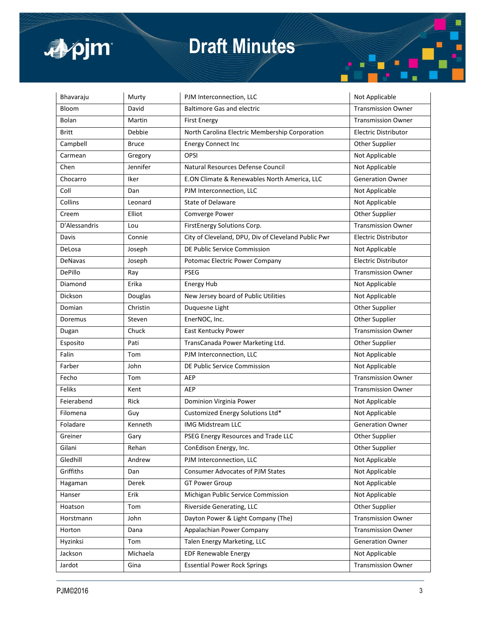

# **Draft Minutes**

| Bhavaraju      | Murty        | PJM Interconnection, LLC                            | Not Applicable              |
|----------------|--------------|-----------------------------------------------------|-----------------------------|
| Bloom          | David        | <b>Baltimore Gas and electric</b>                   | <b>Transmission Owner</b>   |
| Bolan          | Martin       | <b>First Energy</b>                                 | <b>Transmission Owner</b>   |
| <b>Britt</b>   | Debbie       | North Carolina Electric Membership Corporation      | <b>Electric Distributor</b> |
| Campbell       | <b>Bruce</b> | <b>Energy Connect Inc</b>                           | Other Supplier              |
| Carmean        | Gregory      | <b>OPSI</b>                                         | Not Applicable              |
| Chen           | Jennifer     | Natural Resources Defense Council                   | Not Applicable              |
| Chocarro       | Iker         | E.ON Climate & Renewables North America, LLC        | <b>Generation Owner</b>     |
| Coll           | Dan          | PJM Interconnection, LLC                            | Not Applicable              |
| Collins        | Leonard      | State of Delaware                                   | Not Applicable              |
| Creem          | Elliot       | Comverge Power                                      | Other Supplier              |
| D'Alessandris  | Lou          | FirstEnergy Solutions Corp.                         | <b>Transmission Owner</b>   |
| Davis          | Connie       | City of Cleveland, DPU, Div of Cleveland Public Pwr | <b>Electric Distributor</b> |
| DeLosa         | Joseph       | DE Public Service Commission                        | Not Applicable              |
| <b>DeNavas</b> | Joseph       | Potomac Electric Power Company                      | <b>Electric Distributor</b> |
| DePillo        | Ray          | <b>PSEG</b>                                         | <b>Transmission Owner</b>   |
| Diamond        | Erika        | <b>Energy Hub</b>                                   | Not Applicable              |
| Dickson        | Douglas      | New Jersey board of Public Utilities                | Not Applicable              |
| Domian         | Christin     | Duquesne Light                                      | Other Supplier              |
| Doremus        | Steven       | EnerNOC, Inc.                                       | Other Supplier              |
| Dugan          | Chuck        | East Kentucky Power                                 | <b>Transmission Owner</b>   |
| Esposito       | Pati         | TransCanada Power Marketing Ltd.                    | <b>Other Supplier</b>       |
| Falin          | Tom          | PJM Interconnection, LLC                            | Not Applicable              |
| Farber         | John         | DE Public Service Commission                        | Not Applicable              |
| Fecho          | Tom          | AEP                                                 | <b>Transmission Owner</b>   |
| Feliks         | Kent         | <b>AEP</b>                                          | <b>Transmission Owner</b>   |
| Feierabend     | Rick         | Dominion Virginia Power                             | Not Applicable              |
| Filomena       | Guy          | Customized Energy Solutions Ltd*                    | Not Applicable              |
| Foladare       | Kenneth      | <b>IMG Midstream LLC</b>                            | <b>Generation Owner</b>     |
| Greiner        | Gary         | PSEG Energy Resources and Trade LLC                 | Other Supplier              |
| Gilani         | Rehan        | ConEdison Energy, Inc.                              | Other Supplier              |
| Gledhill       | Andrew       | PJM Interconnection, LLC                            | Not Applicable              |
| Griffiths      | Dan          | <b>Consumer Advocates of PJM States</b>             | Not Applicable              |
| Hagaman        | Derek        | <b>GT Power Group</b>                               | Not Applicable              |
| Hanser         | Erik         | Michigan Public Service Commission                  | Not Applicable              |
| Hoatson        | Tom          | Riverside Generating, LLC                           | Other Supplier              |
| Horstmann      | John         | Dayton Power & Light Company (The)                  | <b>Transmission Owner</b>   |
| Horton         | Dana         | Appalachian Power Company                           | <b>Transmission Owner</b>   |
| Hyzinksi       | Tom          | Talen Energy Marketing, LLC                         | <b>Generation Owner</b>     |
| Jackson        | Michaela     | <b>EDF Renewable Energy</b>                         | Not Applicable              |
| Jardot         | Gina         | <b>Essential Power Rock Springs</b>                 | <b>Transmission Owner</b>   |

Ē ٤.

۰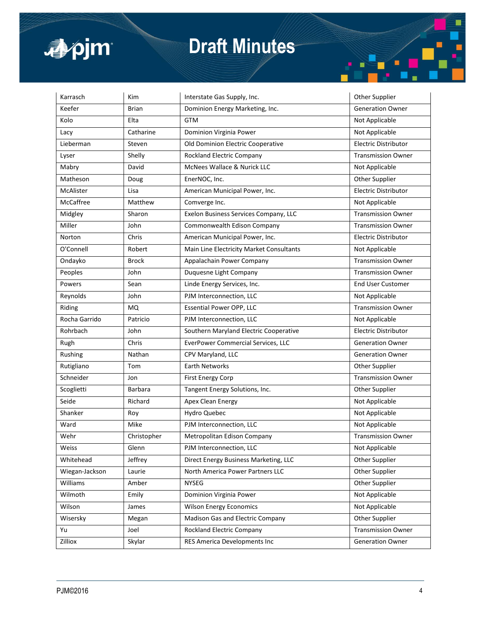

# **Draft Minutes**

| Karrasch       | <b>Kim</b>     | Interstate Gas Supply, Inc.              | Other Supplier              |
|----------------|----------------|------------------------------------------|-----------------------------|
| Keefer         | <b>Brian</b>   | Dominion Energy Marketing, Inc.          | <b>Generation Owner</b>     |
| Kolo           | Elta           | <b>GTM</b>                               | Not Applicable              |
| Lacy           | Catharine      | Dominion Virginia Power                  | Not Applicable              |
| Lieberman      | Steven         | Old Dominion Electric Cooperative        | <b>Electric Distributor</b> |
| Lyser          | Shelly         | <b>Rockland Electric Company</b>         | <b>Transmission Owner</b>   |
| Mabry          | David          | McNees Wallace & Nurick LLC              | Not Applicable              |
| Matheson       | Doug           | EnerNOC, Inc.                            | Other Supplier              |
| McAlister      | Lisa           | American Municipal Power, Inc.           | <b>Electric Distributor</b> |
| McCaffree      | Matthew        | Comverge Inc.                            | Not Applicable              |
| Midgley        | Sharon         | Exelon Business Services Company, LLC    | <b>Transmission Owner</b>   |
| Miller         | John           | Commonwealth Edison Company              | <b>Transmission Owner</b>   |
| Norton         | Chris          | American Municipal Power, Inc.           | <b>Electric Distributor</b> |
| O'Connell      | Robert         | Main Line Electricity Market Consultants | Not Applicable              |
| Ondayko        | <b>Brock</b>   | Appalachain Power Company                | <b>Transmission Owner</b>   |
| Peoples        | John           | Duquesne Light Company                   | <b>Transmission Owner</b>   |
| Powers         | Sean           | Linde Energy Services, Inc.              | <b>End User Customer</b>    |
| Reynolds       | John           | PJM Interconnection, LLC                 | Not Applicable              |
| Riding         | <b>MQ</b>      | <b>Essential Power OPP, LLC</b>          | <b>Transmission Owner</b>   |
| Rocha Garrido  | Patricio       | PJM Interconnection, LLC                 | Not Applicable              |
| Rohrbach       | John           | Southern Maryland Electric Cooperative   | <b>Electric Distributor</b> |
| Rugh           | Chris          | EverPower Commercial Services, LLC       | <b>Generation Owner</b>     |
| Rushing        | Nathan         | CPV Maryland, LLC                        | <b>Generation Owner</b>     |
| Rutigliano     | Tom            | Earth Networks                           | Other Supplier              |
| Schneider      | Jon            | <b>First Energy Corp</b>                 | <b>Transmission Owner</b>   |
| Scoglietti     | <b>Barbara</b> | Tangent Energy Solutions, Inc.           | Other Supplier              |
| Seide          | Richard        | Apex Clean Energy                        | Not Applicable              |
| Shanker        | Roy            | Hydro Quebec                             | Not Applicable              |
| Ward           | Mike           | PJM Interconnection, LLC                 | Not Applicable              |
| Wehr           | Christopher    | Metropolitan Edison Company              | <b>Transmission Owner</b>   |
| Weiss          | Glenn          | PJM Interconnection, LLC                 | Not Applicable              |
| Whitehead      | Jeffrey        | Direct Energy Business Marketing, LLC    | Other Supplier              |
| Wiegan-Jackson | Laurie         | North America Power Partners LLC         | Other Supplier              |
| Williams       | Amber          | <b>NYSEG</b>                             | Other Supplier              |
| Wilmoth        | Emily          | Dominion Virginia Power                  | Not Applicable              |
| Wilson         | James          | <b>Wilson Energy Economics</b>           | Not Applicable              |
| Wisersky       | Megan          | Madison Gas and Electric Company         | Other Supplier              |
| Yu             | Joel           | <b>Rockland Electric Company</b>         | <b>Transmission Owner</b>   |
| Zilliox        | Skylar         | RES America Developments Inc             | <b>Generation Owner</b>     |

É

۰